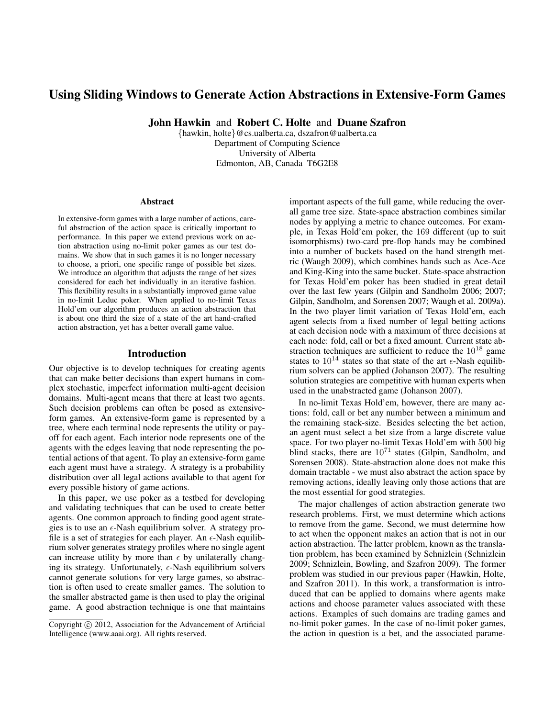# Using Sliding Windows to Generate Action Abstractions in Extensive-Form Games

John Hawkin and Robert C. Holte and Duane Szafron

{hawkin, holte}@cs.ualberta.ca, dszafron@ualberta.ca Department of Computing Science University of Alberta Edmonton, AB, Canada T6G2E8

#### **Abstract**

In extensive-form games with a large number of actions, careful abstraction of the action space is critically important to performance. In this paper we extend previous work on action abstraction using no-limit poker games as our test domains. We show that in such games it is no longer necessary to choose, a priori, one specific range of possible bet sizes. We introduce an algorithm that adjusts the range of bet sizes considered for each bet individually in an iterative fashion. This flexibility results in a substantially improved game value in no-limit Leduc poker. When applied to no-limit Texas Hold'em our algorithm produces an action abstraction that is about one third the size of a state of the art hand-crafted action abstraction, yet has a better overall game value.

## Introduction

Our objective is to develop techniques for creating agents that can make better decisions than expert humans in complex stochastic, imperfect information multi-agent decision domains. Multi-agent means that there at least two agents. Such decision problems can often be posed as extensiveform games. An extensive-form game is represented by a tree, where each terminal node represents the utility or payoff for each agent. Each interior node represents one of the agents with the edges leaving that node representing the potential actions of that agent. To play an extensive-form game each agent must have a strategy. A strategy is a probability distribution over all legal actions available to that agent for every possible history of game actions.

In this paper, we use poker as a testbed for developing and validating techniques that can be used to create better agents. One common approach to finding good agent strategies is to use an  $\epsilon$ -Nash equilibrium solver. A strategy profile is a set of strategies for each player. An  $\epsilon$ -Nash equilibrium solver generates strategy profiles where no single agent can increase utility by more than  $\epsilon$  by unilaterally changing its strategy. Unfortunately,  $\epsilon$ -Nash equilibrium solvers cannot generate solutions for very large games, so abstraction is often used to create smaller games. The solution to the smaller abstracted game is then used to play the original game. A good abstraction technique is one that maintains

important aspects of the full game, while reducing the overall game tree size. State-space abstraction combines similar nodes by applying a metric to chance outcomes. For example, in Texas Hold'em poker, the 169 different (up to suit isomorphisms) two-card pre-flop hands may be combined into a number of buckets based on the hand strength metric (Waugh 2009), which combines hands such as Ace-Ace and King-King into the same bucket. State-space abstraction for Texas Hold'em poker has been studied in great detail over the last few years (Gilpin and Sandholm 2006; 2007; Gilpin, Sandholm, and Sorensen 2007; Waugh et al. 2009a). In the two player limit variation of Texas Hold'em, each agent selects from a fixed number of legal betting actions at each decision node with a maximum of three decisions at each node: fold, call or bet a fixed amount. Current state abstraction techniques are sufficient to reduce the  $10^{18}$  game states to  $10^{14}$  states so that state of the art  $\epsilon$ -Nash equilibrium solvers can be applied (Johanson 2007). The resulting solution strategies are competitive with human experts when used in the unabstracted game (Johanson 2007).

In no-limit Texas Hold'em, however, there are many actions: fold, call or bet any number between a minimum and the remaining stack-size. Besides selecting the bet action, an agent must select a bet size from a large discrete value space. For two player no-limit Texas Hold'em with 500 big blind stacks, there are  $10^{71}$  states (Gilpin, Sandholm, and Sorensen 2008). State-abstraction alone does not make this domain tractable - we must also abstract the action space by removing actions, ideally leaving only those actions that are the most essential for good strategies.

The major challenges of action abstraction generate two research problems. First, we must determine which actions to remove from the game. Second, we must determine how to act when the opponent makes an action that is not in our action abstraction. The latter problem, known as the translation problem, has been examined by Schnizlein (Schnizlein 2009; Schnizlein, Bowling, and Szafron 2009). The former problem was studied in our previous paper (Hawkin, Holte, and Szafron 2011). In this work, a transformation is introduced that can be applied to domains where agents make actions and choose parameter values associated with these actions. Examples of such domains are trading games and no-limit poker games. In the case of no-limit poker games, the action in question is a bet, and the associated parame-

Copyright © 2012, Association for the Advancement of Artificial Intelligence (www.aaai.org). All rights reserved.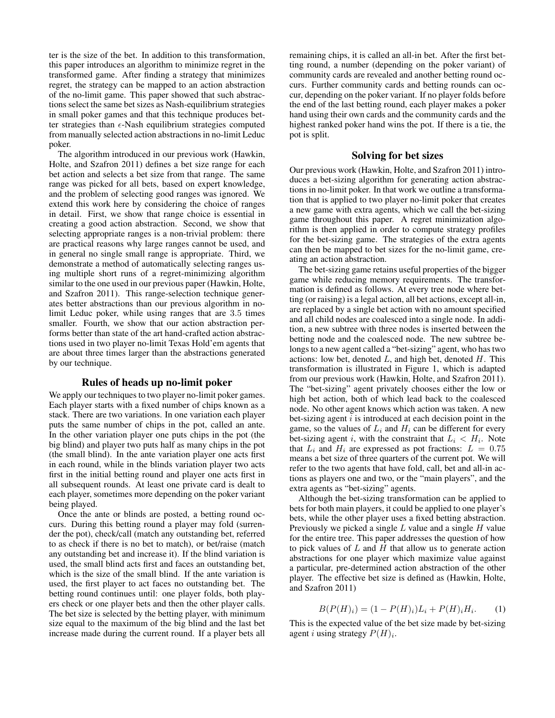ter is the size of the bet. In addition to this transformation, this paper introduces an algorithm to minimize regret in the transformed game. After finding a strategy that minimizes regret, the strategy can be mapped to an action abstraction of the no-limit game. This paper showed that such abstractions select the same bet sizes as Nash-equilibrium strategies in small poker games and that this technique produces better strategies than  $\epsilon$ -Nash equilibrium strategies computed from manually selected action abstractions in no-limit Leduc poker.

The algorithm introduced in our previous work (Hawkin, Holte, and Szafron 2011) defines a bet size range for each bet action and selects a bet size from that range. The same range was picked for all bets, based on expert knowledge, and the problem of selecting good ranges was ignored. We extend this work here by considering the choice of ranges in detail. First, we show that range choice is essential in creating a good action abstraction. Second, we show that selecting appropriate ranges is a non-trivial problem: there are practical reasons why large ranges cannot be used, and in general no single small range is appropriate. Third, we demonstrate a method of automatically selecting ranges using multiple short runs of a regret-minimizing algorithm similar to the one used in our previous paper (Hawkin, Holte, and Szafron 2011). This range-selection technique generates better abstractions than our previous algorithm in nolimit Leduc poker, while using ranges that are 3.5 times smaller. Fourth, we show that our action abstraction performs better than state of the art hand-crafted action abstractions used in two player no-limit Texas Hold'em agents that are about three times larger than the abstractions generated by our technique.

### Rules of heads up no-limit poker

We apply our techniques to two player no-limit poker games. Each player starts with a fixed number of chips known as a stack. There are two variations. In one variation each player puts the same number of chips in the pot, called an ante. In the other variation player one puts chips in the pot (the big blind) and player two puts half as many chips in the pot (the small blind). In the ante variation player one acts first in each round, while in the blinds variation player two acts first in the initial betting round and player one acts first in all subsequent rounds. At least one private card is dealt to each player, sometimes more depending on the poker variant being played.

Once the ante or blinds are posted, a betting round occurs. During this betting round a player may fold (surrender the pot), check/call (match any outstanding bet, referred to as check if there is no bet to match), or bet/raise (match any outstanding bet and increase it). If the blind variation is used, the small blind acts first and faces an outstanding bet, which is the size of the small blind. If the ante variation is used, the first player to act faces no outstanding bet. The betting round continues until: one player folds, both players check or one player bets and then the other player calls. The bet size is selected by the betting player, with minimum size equal to the maximum of the big blind and the last bet increase made during the current round. If a player bets all remaining chips, it is called an all-in bet. After the first betting round, a number (depending on the poker variant) of community cards are revealed and another betting round occurs. Further community cards and betting rounds can occur, depending on the poker variant. If no player folds before the end of the last betting round, each player makes a poker hand using their own cards and the community cards and the highest ranked poker hand wins the pot. If there is a tie, the pot is split.

### Solving for bet sizes

Our previous work (Hawkin, Holte, and Szafron 2011) introduces a bet-sizing algorithm for generating action abstractions in no-limit poker. In that work we outline a transformation that is applied to two player no-limit poker that creates a new game with extra agents, which we call the bet-sizing game throughout this paper. A regret minimization algorithm is then applied in order to compute strategy profiles for the bet-sizing game. The strategies of the extra agents can then be mapped to bet sizes for the no-limit game, creating an action abstraction.

The bet-sizing game retains useful properties of the bigger game while reducing memory requirements. The transformation is defined as follows. At every tree node where betting (or raising) is a legal action, all bet actions, except all-in, are replaced by a single bet action with no amount specified and all child nodes are coalesced into a single node. In addition, a new subtree with three nodes is inserted between the betting node and the coalesced node. The new subtree belongs to a new agent called a "bet-sizing" agent, who has two actions: low bet, denoted  $L$ , and high bet, denoted  $H$ . This transformation is illustrated in Figure 1, which is adapted from our previous work (Hawkin, Holte, and Szafron 2011). The "bet-sizing" agent privately chooses either the low or high bet action, both of which lead back to the coalesced node. No other agent knows which action was taken. A new bet-sizing agent  $i$  is introduced at each decision point in the game, so the values of  $L_i$  and  $H_i$  can be different for every bet-sizing agent i, with the constraint that  $L_i < H_i$ . Note that  $L_i$  and  $H_i$  are expressed as pot fractions:  $L = 0.75$ means a bet size of three quarters of the current pot. We will refer to the two agents that have fold, call, bet and all-in actions as players one and two, or the "main players", and the extra agents as "bet-sizing" agents.

Although the bet-sizing transformation can be applied to bets for both main players, it could be applied to one player's bets, while the other player uses a fixed betting abstraction. Previously we picked a single  $L$  value and a single  $H$  value for the entire tree. This paper addresses the question of how to pick values of  $L$  and  $H$  that allow us to generate action abstractions for one player which maximize value against a particular, pre-determined action abstraction of the other player. The effective bet size is defined as (Hawkin, Holte, and Szafron 2011)

$$
B(P(H)_i) = (1 - P(H)_i)L_i + P(H)_iH_i.
$$
 (1)

This is the expected value of the bet size made by bet-sizing agent *i* using strategy  $P(H)$ <sub>*i*</sub>.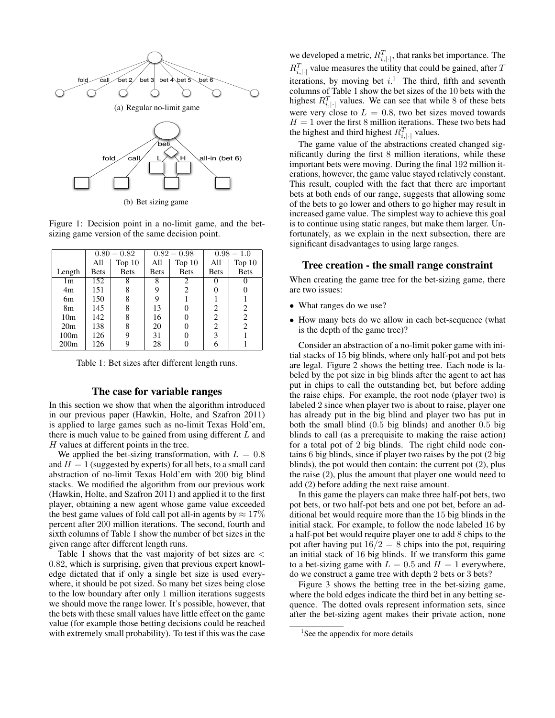

Figure 1: Decision point in a no-limit game, and the betsizing game version of the same decision point.

|                  | $0.80 - 0.82$ |             | $0.82 - 0.98$ |             | $0.98 - 1.0$ |             |
|------------------|---------------|-------------|---------------|-------------|--------------|-------------|
|                  | All           | Top $10$    | All           | Top $10$    | All          | Top $10$    |
| Length           | <b>Bets</b>   | <b>Bets</b> | <b>Bets</b>   | <b>Bets</b> | <b>Bets</b>  | <b>Bets</b> |
| 1m               | 152           | 8           | 8             | 2           |              |             |
| 4m               | 151           | 8           | 9             | 2           |              |             |
| 6m               | 150           | 8           | 9             |             |              |             |
| 8m               | 145           | 8           | 13            | 0           | 2            | 2           |
| 10 <sub>m</sub>  | 142           | 8           | 16            |             | 2            | 2           |
| 20 <sub>m</sub>  | 138           | 8           | 20            | 0           | 2            | 2           |
| 100 <sub>m</sub> | 126           | 9           | 31            | 0           | 3            |             |
| 200m             | 126           |             | 28            |             | 6            |             |

Table 1: Bet sizes after different length runs.

### The case for variable ranges

In this section we show that when the algorithm introduced in our previous paper (Hawkin, Holte, and Szafron 2011) is applied to large games such as no-limit Texas Hold'em, there is much value to be gained from using different  $L$  and H values at different points in the tree.

We applied the bet-sizing transformation, with  $L = 0.8$ and  $H = 1$  (suggested by experts) for all bets, to a small card abstraction of no-limit Texas Hold'em with 200 big blind stacks. We modified the algorithm from our previous work (Hawkin, Holte, and Szafron 2011) and applied it to the first player, obtaining a new agent whose game value exceeded the best game values of fold call pot all-in agents by  $\approx 17\%$ percent after 200 million iterations. The second, fourth and sixth columns of Table 1 show the number of bet sizes in the given range after different length runs.

Table 1 shows that the vast majority of bet sizes are < 0.82, which is surprising, given that previous expert knowledge dictated that if only a single bet size is used everywhere, it should be pot sized. So many bet sizes being close to the low boundary after only 1 million iterations suggests we should move the range lower. It's possible, however, that the bets with these small values have little effect on the game value (for example those betting decisions could be reached with extremely small probability). To test if this was the case

we developed a metric,  $R_{i,|\cdot|}^T$ , that ranks bet importance. The  $R_{i,|\cdot|}^T$  value measures the utility that could be gained, after T iterations, by moving bet  $i$ .<sup>1</sup> The third, fifth and seventh columns of Table 1 show the bet sizes of the 10 bets with the highest  $R_{i,|\cdot|}^T$  values. We can see that while 8 of these bets were very close to  $L = 0.8$ , two bet sizes moved towards  $H = 1$  over the first 8 million iterations. These two bets had the highest and third highest  $R_{i,|\cdot|}^T$  values.

The game value of the abstractions created changed significantly during the first 8 million iterations, while these important bets were moving. During the final 192 million iterations, however, the game value stayed relatively constant. This result, coupled with the fact that there are important bets at both ends of our range, suggests that allowing some of the bets to go lower and others to go higher may result in increased game value. The simplest way to achieve this goal is to continue using static ranges, but make them larger. Unfortunately, as we explain in the next subsection, there are significant disadvantages to using large ranges.

### Tree creation - the small range constraint

When creating the game tree for the bet-sizing game, there are two issues:

- What ranges do we use?
- How many bets do we allow in each bet-sequence (what is the depth of the game tree)?

Consider an abstraction of a no-limit poker game with initial stacks of 15 big blinds, where only half-pot and pot bets are legal. Figure 2 shows the betting tree. Each node is labeled by the pot size in big blinds after the agent to act has put in chips to call the outstanding bet, but before adding the raise chips. For example, the root node (player two) is labeled 2 since when player two is about to raise, player one has already put in the big blind and player two has put in both the small blind (0.5 big blinds) and another 0.5 big blinds to call (as a prerequisite to making the raise action) for a total pot of 2 big blinds. The right child node contains 6 big blinds, since if player two raises by the pot (2 big blinds), the pot would then contain: the current pot (2), plus the raise (2), plus the amount that player one would need to add (2) before adding the next raise amount.

In this game the players can make three half-pot bets, two pot bets, or two half-pot bets and one pot bet, before an additional bet would require more than the 15 big blinds in the initial stack. For example, to follow the node labeled 16 by a half-pot bet would require player one to add 8 chips to the pot after having put  $16/2 = 8$  chips into the pot, requiring an initial stack of 16 big blinds. If we transform this game to a bet-sizing game with  $L = 0.5$  and  $H = 1$  everywhere, do we construct a game tree with depth 2 bets or 3 bets?

Figure 3 shows the betting tree in the bet-sizing game, where the bold edges indicate the third bet in any betting sequence. The dotted ovals represent information sets, since after the bet-sizing agent makes their private action, none

<sup>&</sup>lt;sup>1</sup>See the appendix for more details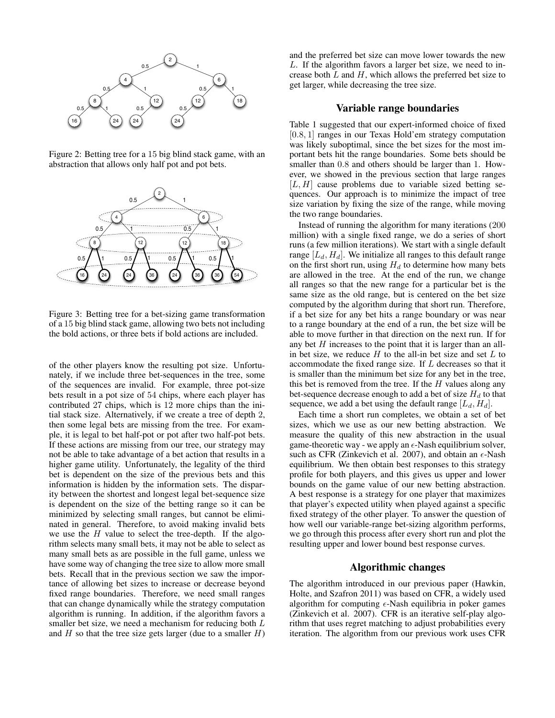

Figure 2: Betting tree for a 15 big blind stack game, with an abstraction that allows only half pot and pot bets.



Figure 3: Betting tree for a bet-sizing game transformation of a 15 big blind stack game, allowing two bets not including the bold actions, or three bets if bold actions are included.

of the other players know the resulting pot size. Unfortunately, if we include three bet-sequences in the tree, some of the sequences are invalid. For example, three pot-size bets result in a pot size of 54 chips, where each player has contributed 27 chips, which is 12 more chips than the initial stack size. Alternatively, if we create a tree of depth 2, then some legal bets are missing from the tree. For example, it is legal to bet half-pot or pot after two half-pot bets. If these actions are missing from our tree, our strategy may not be able to take advantage of a bet action that results in a higher game utility. Unfortunately, the legality of the third bet is dependent on the size of the previous bets and this information is hidden by the information sets. The disparity between the shortest and longest legal bet-sequence size is dependent on the size of the betting range so it can be minimized by selecting small ranges, but cannot be eliminated in general. Therefore, to avoid making invalid bets we use the  $H$  value to select the tree-depth. If the algorithm selects many small bets, it may not be able to select as many small bets as are possible in the full game, unless we have some way of changing the tree size to allow more small bets. Recall that in the previous section we saw the importance of allowing bet sizes to increase or decrease beyond fixed range boundaries. Therefore, we need small ranges that can change dynamically while the strategy computation algorithm is running. In addition, if the algorithm favors a smaller bet size, we need a mechanism for reducing both  $L$ and  $H$  so that the tree size gets larger (due to a smaller  $H$ )

and the preferred bet size can move lower towards the new L. If the algorithm favors a larger bet size, we need to increase both  $L$  and  $H$ , which allows the preferred bet size to get larger, while decreasing the tree size.

### Variable range boundaries

Table 1 suggested that our expert-informed choice of fixed [0.8, 1] ranges in our Texas Hold'em strategy computation was likely suboptimal, since the bet sizes for the most important bets hit the range boundaries. Some bets should be smaller than  $0.8$  and others should be larger than 1. However, we showed in the previous section that large ranges  $[L, H]$  cause problems due to variable sized betting sequences. Our approach is to minimize the impact of tree size variation by fixing the size of the range, while moving the two range boundaries.

Instead of running the algorithm for many iterations (200 million) with a single fixed range, we do a series of short runs (a few million iterations). We start with a single default range  $[L_d, H_d]$ . We initialize all ranges to this default range on the first short run, using  $H_d$  to determine how many bets are allowed in the tree. At the end of the run, we change all ranges so that the new range for a particular bet is the same size as the old range, but is centered on the bet size computed by the algorithm during that short run. Therefore, if a bet size for any bet hits a range boundary or was near to a range boundary at the end of a run, the bet size will be able to move further in that direction on the next run. If for any bet  $H$  increases to the point that it is larger than an allin bet size, we reduce  $H$  to the all-in bet size and set  $L$  to accommodate the fixed range size. If L decreases so that it is smaller than the minimum bet size for any bet in the tree, this bet is removed from the tree. If the  $H$  values along any bet-sequence decrease enough to add a bet of size  $H_d$  to that sequence, we add a bet using the default range  $[L_d, H_d]$ .

Each time a short run completes, we obtain a set of bet sizes, which we use as our new betting abstraction. We measure the quality of this new abstraction in the usual game-theoretic way - we apply an  $\epsilon$ -Nash equilibrium solver, such as CFR (Zinkevich et al. 2007), and obtain an  $\epsilon$ -Nash equilibrium. We then obtain best responses to this strategy profile for both players, and this gives us upper and lower bounds on the game value of our new betting abstraction. A best response is a strategy for one player that maximizes that player's expected utility when played against a specific fixed strategy of the other player. To answer the question of how well our variable-range bet-sizing algorithm performs, we go through this process after every short run and plot the resulting upper and lower bound best response curves.

# Algorithmic changes

The algorithm introduced in our previous paper (Hawkin, Holte, and Szafron 2011) was based on CFR, a widely used algorithm for computing  $\epsilon$ -Nash equilibria in poker games (Zinkevich et al. 2007). CFR is an iterative self-play algorithm that uses regret matching to adjust probabilities every iteration. The algorithm from our previous work uses CFR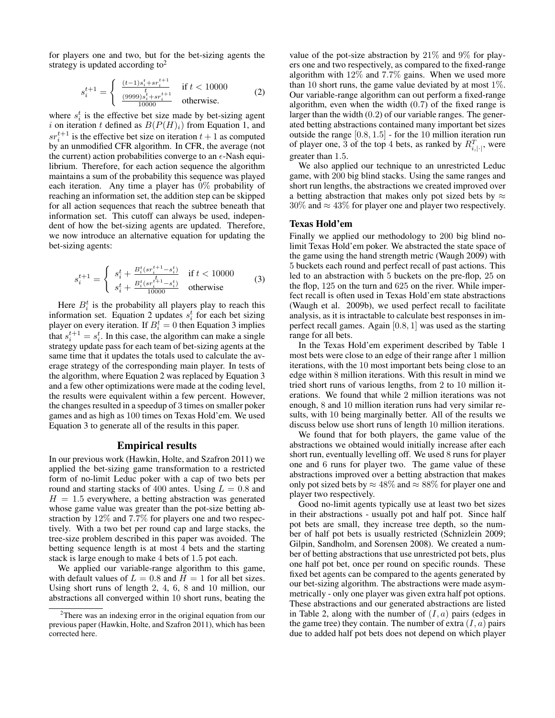for players one and two, but for the bet-sizing agents the strategy is updated according to<sup>2</sup>

$$
s_i^{t+1} = \begin{cases} \frac{(t-1)s_i^t + sr_i^{t+1}}{t} & \text{if } t < 10000\\ \frac{(9999)s_i^t + sr_i^{t+1}}{10000} & \text{otherwise.} \end{cases}
$$
 (2)

where  $s_i^t$  is the effective bet size made by bet-sizing agent i on iteration t defined as  $B(P(H)_i)$  from Equation 1, and  $sr_i^{t+1}$  is the effective bet size on iteration  $t+1$  as computed by an unmodified CFR algorithm. In CFR, the average (not the current) action probabilities converge to an  $\epsilon$ -Nash equilibrium. Therefore, for each action sequence the algorithm maintains a sum of the probability this sequence was played each iteration. Any time a player has 0% probability of reaching an information set, the addition step can be skipped for all action sequences that reach the subtree beneath that information set. This cutoff can always be used, independent of how the bet-sizing agents are updated. Therefore, we now introduce an alternative equation for updating the bet-sizing agents:

$$
s_i^{t+1} = \begin{cases} s_i^t + \frac{B_i^t(sr_i^{t+1} - s_i^t)}{t} & \text{if } t < 10000\\ s_i^t + \frac{B_i^t(sr_i^{t+1} - s_i^t)}{10000} & \text{otherwise} \end{cases}
$$
(3)

Here  $B_i^t$  is the probability all players play to reach this information set. Equation 2 updates  $s_i^t$  for each bet sizing player on every iteration. If  $B_i^t = 0$  then Equation 3 implies that  $s_i^{t+1} = s_i^t$ . In this case, the algorithm can make a single strategy update pass for each team of bet-sizing agents at the same time that it updates the totals used to calculate the average strategy of the corresponding main player. In tests of the algorithm, where Equation 2 was replaced by Equation 3 and a few other optimizations were made at the coding level, the results were equivalent within a few percent. However, the changes resulted in a speedup of 3 times on smaller poker games and as high as 100 times on Texas Hold'em. We used Equation 3 to generate all of the results in this paper.

#### Empirical results

In our previous work (Hawkin, Holte, and Szafron 2011) we applied the bet-sizing game transformation to a restricted form of no-limit Leduc poker with a cap of two bets per round and starting stacks of 400 antes. Using  $L = 0.8$  and  $H = 1.5$  everywhere, a betting abstraction was generated whose game value was greater than the pot-size betting abstraction by 12% and 7.7% for players one and two respectively. With a two bet per round cap and large stacks, the tree-size problem described in this paper was avoided. The betting sequence length is at most 4 bets and the starting stack is large enough to make 4 bets of 1.5 pot each.

We applied our variable-range algorithm to this game, with default values of  $L = 0.8$  and  $H = 1$  for all bet sizes. Using short runs of length 2, 4, 6, 8 and 10 million, our abstractions all converged within 10 short runs, beating the

value of the pot-size abstraction by  $21\%$  and  $9\%$  for players one and two respectively, as compared to the fixed-range algorithm with 12% and 7.7% gains. When we used more than 10 short runs, the game value deviated by at most 1%. Our variable-range algorithm can out perform a fixed-range algorithm, even when the width  $(0.7)$  of the fixed range is larger than the width (0.2) of our variable ranges. The generated betting abstractions contained many important bet sizes outside the range [0.8, 1.5] - for the 10 million iteration run of player one, 3 of the top 4 bets, as ranked by  $R_{i,|\cdot|}^T$ , were greater than 1.5.

We also applied our technique to an unrestricted Leduc game, with 200 big blind stacks. Using the same ranges and short run lengths, the abstractions we created improved over a betting abstraction that makes only pot sized bets by  $\approx$  $30\%$  and  $\approx 43\%$  for player one and player two respectively.

### Texas Hold'em

Finally we applied our methodology to 200 big blind nolimit Texas Hold'em poker. We abstracted the state space of the game using the hand strength metric (Waugh 2009) with 5 buckets each round and perfect recall of past actions. This led to an abstraction with 5 buckets on the pre-flop, 25 on the flop, 125 on the turn and 625 on the river. While imperfect recall is often used in Texas Hold'em state abstractions (Waugh et al. 2009b), we used perfect recall to facilitate analysis, as it is intractable to calculate best responses in imperfect recall games. Again [0.8, 1] was used as the starting range for all bets.

In the Texas Hold'em experiment described by Table 1 most bets were close to an edge of their range after 1 million iterations, with the 10 most important bets being close to an edge within 8 million iterations. With this result in mind we tried short runs of various lengths, from 2 to 10 million iterations. We found that while 2 million iterations was not enough, 8 and 10 million iteration runs had very similar results, with 10 being marginally better. All of the results we discuss below use short runs of length 10 million iterations.

We found that for both players, the game value of the abstractions we obtained would initially increase after each short run, eventually levelling off. We used 8 runs for player one and 6 runs for player two. The game value of these abstractions improved over a betting abstraction that makes only pot sized bets by  $\approx 48\%$  and  $\approx 88\%$  for player one and player two respectively.

Good no-limit agents typically use at least two bet sizes in their abstractions - usually pot and half pot. Since half pot bets are small, they increase tree depth, so the number of half pot bets is usually restricted (Schnizlein 2009; Gilpin, Sandholm, and Sorensen 2008). We created a number of betting abstractions that use unrestricted pot bets, plus one half pot bet, once per round on specific rounds. These fixed bet agents can be compared to the agents generated by our bet-sizing algorithm. The abstractions were made asymmetrically - only one player was given extra half pot options. These abstractions and our generated abstractions are listed in Table 2, along with the number of  $(I, a)$  pairs (edges in the game tree) they contain. The number of extra  $(I, a)$  pairs due to added half pot bets does not depend on which player

<sup>&</sup>lt;sup>2</sup>There was an indexing error in the original equation from our previous paper (Hawkin, Holte, and Szafron 2011), which has been corrected here.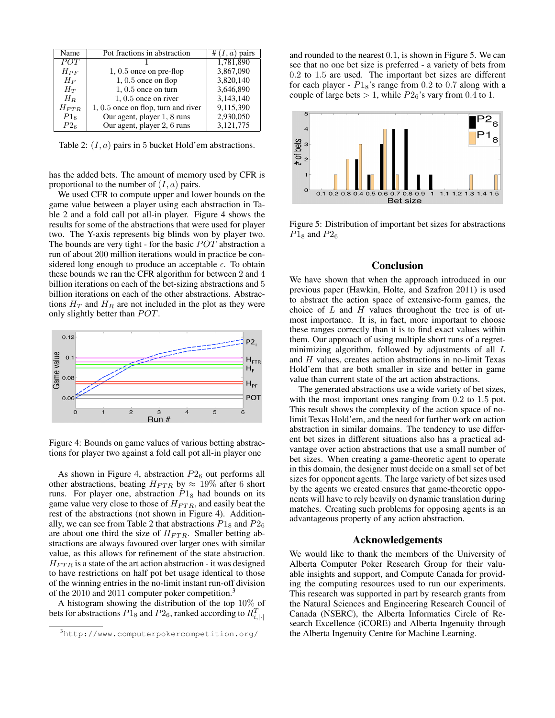| Name            | Pot fractions in abstraction          | # $(I, a)$ pairs |
|-----------------|---------------------------------------|------------------|
| POT             |                                       | 1,781,890        |
| $H_{PF}$        | $1, 0.5$ once on pre-flop             | 3,867,090        |
| $H_F$           | $1, 0.5$ once on flop                 | 3,820,140        |
| $H_T$           | $1, 0.5$ once on turn                 | 3,646,890        |
| $H_R$           | $1, 0.5$ once on river                | 3,143,140        |
| $H_{FTR}$       | $1, 0.5$ once on flop, turn and river | 9,115,390        |
| $P1_8$          | Our agent, player 1, 8 runs           | 2,930,050        |
| P2 <sub>6</sub> | Our agent, player 2, 6 runs           | 3,121,775        |

Table 2:  $(I, a)$  pairs in 5 bucket Hold'em abstractions.

has the added bets. The amount of memory used by CFR is proportional to the number of  $(I, a)$  pairs.

We used CFR to compute upper and lower bounds on the game value between a player using each abstraction in Table 2 and a fold call pot all-in player. Figure 4 shows the results for some of the abstractions that were used for player two. The Y-axis represents big blinds won by player two. The bounds are very tight - for the basic  $POT$  abstraction a run of about 200 million iterations would in practice be considered long enough to produce an acceptable  $\epsilon$ . To obtain these bounds we ran the CFR algorithm for between 2 and 4 billion iterations on each of the bet-sizing abstractions and 5 billion iterations on each of the other abstractions. Abstractions  $H_T$  and  $H_R$  are not included in the plot as they were only slightly better than  $POT$ .



Figure 4: Bounds on game values of various betting abstractions for player two against a fold call pot all-in player one

As shown in Figure 4, abstraction  $P2_6$  out performs all other abstractions, beating  $H_{FTR}$  by  $\approx 19\%$  after 6 short runs. For player one, abstraction  $P1_8$  had bounds on its game value very close to those of  $H_{FTR}$ , and easily beat the rest of the abstractions (not shown in Figure 4). Additionally, we can see from Table 2 that abstractions  $P1_8$  and  $P2_6$ are about one third the size of  $H_{FTR}$ . Smaller betting abstractions are always favoured over larger ones with similar value, as this allows for refinement of the state abstraction.  $H_{FTR}$  is a state of the art action abstraction - it was designed to have restrictions on half pot bet usage identical to those of the winning entries in the no-limit instant run-off division of the 2010 and 2011 computer poker competition.<sup>3</sup>

A histogram showing the distribution of the top 10% of bets for abstractions  $P1_8$  and  $P2_6$ , ranked according to  $R_{i,|\cdot|}^T$ 

and rounded to the nearest 0.1, is shown in Figure 5. We can see that no one bet size is preferred - a variety of bets from 0.2 to 1.5 are used. The important bet sizes are different for each player -  $P1_8$ 's range from 0.2 to 0.7 along with a couple of large bets  $> 1$ , while  $P2_6$ 's vary from 0.4 to 1.



Figure 5: Distribution of important bet sizes for abstractions  $P1_8$  and  $P2_6$ 

### Conclusion

We have shown that when the approach introduced in our previous paper (Hawkin, Holte, and Szafron 2011) is used to abstract the action space of extensive-form games, the choice of  $L$  and  $H$  values throughout the tree is of utmost importance. It is, in fact, more important to choose these ranges correctly than it is to find exact values within them. Our approach of using multiple short runs of a regretminimizing algorithm, followed by adjustments of all L and H values, creates action abstractions in no-limit Texas Hold'em that are both smaller in size and better in game value than current state of the art action abstractions.

The generated abstractions use a wide variety of bet sizes, with the most important ones ranging from  $0.2$  to  $1.5$  pot. This result shows the complexity of the action space of nolimit Texas Hold'em, and the need for further work on action abstraction in similar domains. The tendency to use different bet sizes in different situations also has a practical advantage over action abstractions that use a small number of bet sizes. When creating a game-theoretic agent to operate in this domain, the designer must decide on a small set of bet sizes for opponent agents. The large variety of bet sizes used by the agents we created ensures that game-theoretic opponents will have to rely heavily on dynamic translation during matches. Creating such problems for opposing agents is an advantageous property of any action abstraction.

### Acknowledgements

We would like to thank the members of the University of Alberta Computer Poker Research Group for their valuable insights and support, and Compute Canada for providing the computing resources used to run our experiments. This research was supported in part by research grants from the Natural Sciences and Engineering Research Council of Canada (NSERC), the Alberta Informatics Circle of Research Excellence (iCORE) and Alberta Ingenuity through the Alberta Ingenuity Centre for Machine Learning.

<sup>3</sup>http://www.computerpokercompetition.org/